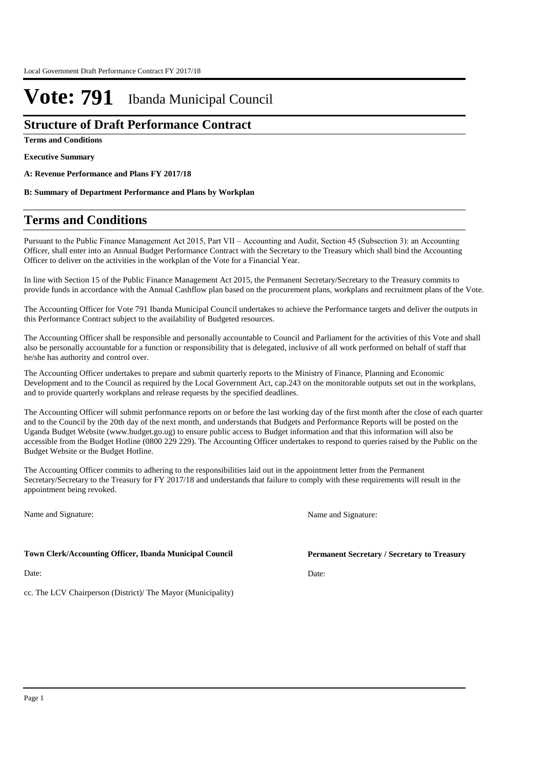### **Structure of Draft Performance Contract**

**Terms and Conditions**

**Executive Summary**

**A: Revenue Performance and Plans FY 2017/18**

**B: Summary of Department Performance and Plans by Workplan**

## **Terms and Conditions**

Pursuant to the Public Finance Management Act 2015, Part VII – Accounting and Audit, Section 45 (Subsection 3): an Accounting Officer, shall enter into an Annual Budget Performance Contract with the Secretary to the Treasury which shall bind the Accounting Officer to deliver on the activities in the workplan of the Vote for a Financial Year.

In line with Section 15 of the Public Finance Management Act 2015, the Permanent Secretary/Secretary to the Treasury commits to provide funds in accordance with the Annual Cashflow plan based on the procurement plans, workplans and recruitment plans of the Vote.

The Accounting Officer for Vote 791 Ibanda Municipal Council undertakes to achieve the Performance targets and deliver the outputs in this Performance Contract subject to the availability of Budgeted resources.

The Accounting Officer shall be responsible and personally accountable to Council and Parliament for the activities of this Vote and shall also be personally accountable for a function or responsibility that is delegated, inclusive of all work performed on behalf of staff that he/she has authority and control over.

The Accounting Officer undertakes to prepare and submit quarterly reports to the Ministry of Finance, Planning and Economic Development and to the Council as required by the Local Government Act, cap.243 on the monitorable outputs set out in the workplans, and to provide quarterly workplans and release requests by the specified deadlines.

The Accounting Officer will submit performance reports on or before the last working day of the first month after the close of each quarter and to the Council by the 20th day of the next month, and understands that Budgets and Performance Reports will be posted on the Uganda Budget Website (www.budget.go.ug) to ensure public access to Budget information and that this information will also be accessible from the Budget Hotline (0800 229 229). The Accounting Officer undertakes to respond to queries raised by the Public on the Budget Website or the Budget Hotline.

The Accounting Officer commits to adhering to the responsibilities laid out in the appointment letter from the Permanent Secretary/Secretary to the Treasury for FY 2017/18 and understands that failure to comply with these requirements will result in the appointment being revoked.

Name and Signature:

### **Town Clerk/Accounting Officer, Ibanda Municipal Council**

Date:

cc. The LCV Chairperson (District)/ The Mayor (Municipality)

Name and Signature:

**Permanent Secretary / Secretary to Treasury**

Date: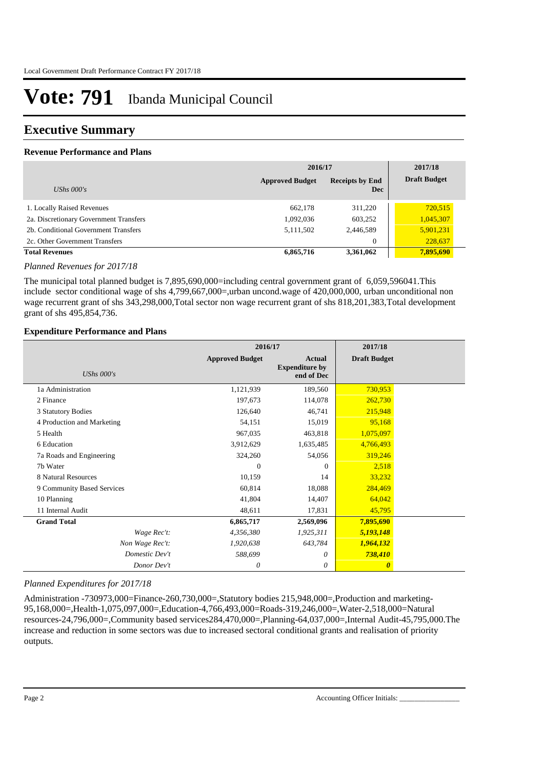### **Executive Summary**

### **Revenue Performance and Plans**

|                                        | 2016/17                |                                      | 2017/18             |
|----------------------------------------|------------------------|--------------------------------------|---------------------|
| UShs $000's$                           | <b>Approved Budget</b> | <b>Receipts by End</b><br><b>Dec</b> | <b>Draft Budget</b> |
| 1. Locally Raised Revenues             | 662.178                | 311,220                              | 720,515             |
| 2a. Discretionary Government Transfers | 1,092,036              | 603,252                              | 1,045,307           |
| 2b. Conditional Government Transfers   | 5,111,502              | 2,446,589                            | 5,901,231           |
| 2c. Other Government Transfers         |                        | $\overline{0}$                       | 228,637             |
| <b>Total Revenues</b>                  | 6,865,716              | 3,361,062                            | 7,895,690           |

#### *Planned Revenues for 2017/18*

The municipal total planned budget is 7,895,690,000=including central government grant of 6,059,596041.This include sector conditional wage of shs 4,799,667,000=,urban uncond.wage of 420,000,000, urban unconditional non wage recurrent grant of shs 343,298,000,Total sector non wage recurrent grant of shs 818,201,383,Total development grant of shs 495,854,736.

#### **Expenditure Performance and Plans**

|                            | 2016/17                |                                                      | 2017/18               |  |
|----------------------------|------------------------|------------------------------------------------------|-----------------------|--|
| <b>UShs 000's</b>          | <b>Approved Budget</b> | <b>Actual</b><br><b>Expenditure by</b><br>end of Dec | <b>Draft Budget</b>   |  |
| 1a Administration          | 1,121,939              | 189,560                                              | 730,953               |  |
| 2 Finance                  | 197,673                | 114,078                                              | 262,730               |  |
| 3 Statutory Bodies         | 126,640                | 46,741                                               | 215,948               |  |
| 4 Production and Marketing | 54,151                 | 15,019                                               | 95,168                |  |
| 5 Health                   | 967,035                | 463,818                                              | 1,075,097             |  |
| 6 Education                | 3,912,629              | 1,635,485                                            | 4,766,493             |  |
| 7a Roads and Engineering   | 324,260                | 54,056                                               | 319,246               |  |
| 7b Water                   | $\Omega$               | $\Omega$                                             | 2,518                 |  |
| 8 Natural Resources        | 10,159                 | 14                                                   | 33,232                |  |
| 9 Community Based Services | 60,814                 | 18,088                                               | 284,469               |  |
| 10 Planning                | 41,804                 | 14,407                                               | 64,042                |  |
| 11 Internal Audit          | 48,611                 | 17,831                                               | 45,795                |  |
| <b>Grand Total</b>         | 6,865,717              | 2,569,096                                            | 7,895,690             |  |
| Wage Rec't:                | 4,356,380              | 1,925,311                                            | 5,193,148             |  |
| Non Wage Rec't:            | 1,920,638              | 643,784                                              | 1,964,132             |  |
| Domestic Dev't             | 588,699                | 0                                                    | 738,410               |  |
| Donor Dev't                | 0                      | 0                                                    | $\boldsymbol{\theta}$ |  |

### *Planned Expenditures for 2017/18*

Administration -730973,000=Finance-260,730,000=,Statutory bodies 215,948,000=,Production and marketing-95,168,000=,Health-1,075,097,000=,Education-4,766,493,000=Roads-319,246,000=,Water-2,518,000=Natural resources-24,796,000=,Community based services284,470,000=,Planning-64,037,000=,Internal Audit-45,795,000.The increase and reduction in some sectors was due to increased sectoral conditional grants and realisation of priority outputs.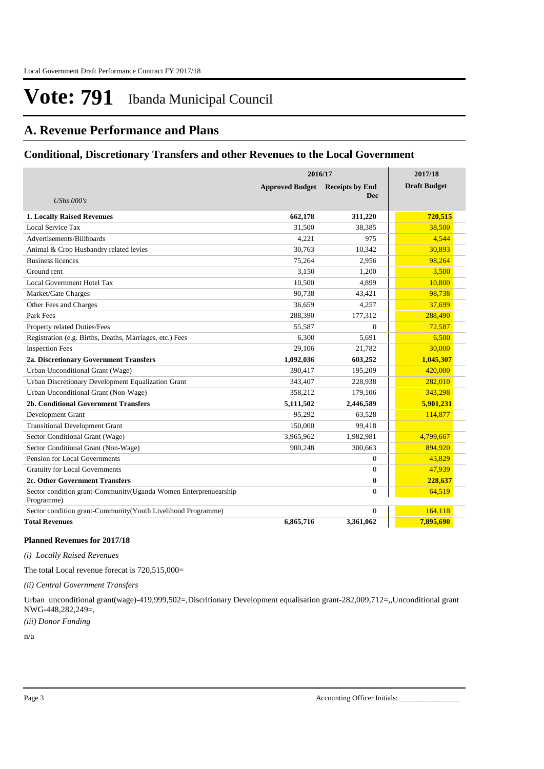### **A. Revenue Performance and Plans**

### **Conditional, Discretionary Transfers and other Revenues to the Local Government**

|                                                                               | 2016/17                |                        | 2017/18             |
|-------------------------------------------------------------------------------|------------------------|------------------------|---------------------|
|                                                                               | <b>Approved Budget</b> | <b>Receipts by End</b> | <b>Draft Budget</b> |
| UShs $000's$                                                                  |                        | <b>Dec</b>             |                     |
| <b>1. Locally Raised Revenues</b>                                             | 662,178                | 311,220                | 720,515             |
| Local Service Tax                                                             | 31,500                 | 38,385                 | 38,500              |
| Advertisements/Billboards                                                     | 4,221                  | 975                    | 4.544               |
| Animal & Crop Husbandry related levies                                        | 30,763                 | 10,342                 | 30,893              |
| <b>Business licences</b>                                                      | 75,264                 | 2,956                  | 98,264              |
| Ground rent                                                                   | 3,150                  | 1,200                  | 3,500               |
| Local Government Hotel Tax                                                    | 10,500                 | 4,899                  | 10,800              |
| Market/Gate Charges                                                           | 90,738                 | 43,421                 | 98,738              |
| Other Fees and Charges                                                        | 36,659                 | 4,257                  | 37,699              |
| Park Fees                                                                     | 288,390                | 177,312                | 288,490             |
| Property related Duties/Fees                                                  | 55,587                 | $\Omega$               | 72,587              |
| Registration (e.g. Births, Deaths, Marriages, etc.) Fees                      | 6,300                  | 5,691                  | 6,500               |
| <b>Inspection Fees</b>                                                        | 29,106                 | 21.782                 | 30,000              |
| 2a. Discretionary Government Transfers                                        | 1,092,036              | 603,252                | 1,045,307           |
| Urban Unconditional Grant (Wage)                                              | 390,417                | 195,209                | 420,000             |
| Urban Discretionary Development Equalization Grant                            | 343,407                | 228,938                | 282,010             |
| Urban Unconditional Grant (Non-Wage)                                          | 358,212                | 179,106                | 343,298             |
| <b>2b. Conditional Government Transfers</b>                                   | 5,111,502              | 2,446,589              | 5,901,231           |
| Development Grant                                                             | 95,292                 | 63,528                 | 114,877             |
| <b>Transitional Development Grant</b>                                         | 150,000                | 99,418                 |                     |
| Sector Conditional Grant (Wage)                                               | 3,965,962              | 1,982,981              | 4,799,667           |
| Sector Conditional Grant (Non-Wage)                                           | 900,248                | 300,663                | 894,920             |
| Pension for Local Governments                                                 |                        | $\Omega$               | 43,829              |
| <b>Gratuity for Local Governments</b>                                         |                        | $\theta$               | 47,939              |
| 2c. Other Government Transfers                                                |                        | 0                      | 228,637             |
| Sector condition grant-Community(Uganda Women Enterprenuearship<br>Programme) |                        | $\theta$               | 64,519              |
| Sector condition grant-Community(Youth Livelihood Programme)                  |                        | $\Omega$               | 164,118             |
| <b>Total Revenues</b>                                                         | 6,865,716              | 3,361,062              | 7,895,690           |

#### **Planned Revenues for 2017/18**

*(i) Locally Raised Revenues* 

The total Local revenue forecat is  $720,515,000=$ 

*(ii) Central Government Transfers*

Urban unconditional grant(wage)-419,999,502=,Discritionary Development equalisation grant-282,009,712=,,Unconditional grant NWG-448,282,249=,

*(iii) Donor Funding*

n/a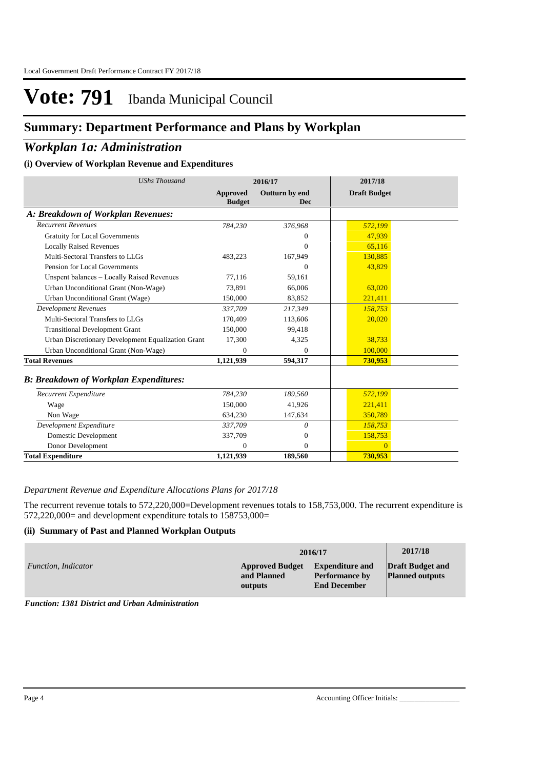## **Summary: Department Performance and Plans by Workplan**

### *Workplan 1a: Administration*

### **(i) Overview of Workplan Revenue and Expenditures**

| <b>UShs Thousand</b>                               |                                  | 2016/17                      | 2017/18             |  |
|----------------------------------------------------|----------------------------------|------------------------------|---------------------|--|
|                                                    | <b>Approved</b><br><b>Budget</b> | Outturn by end<br><b>Dec</b> | <b>Draft Budget</b> |  |
| A: Breakdown of Workplan Revenues:                 |                                  |                              |                     |  |
| <b>Recurrent Revenues</b>                          | 784,230                          | 376,968                      | 572,199             |  |
| <b>Gratuity for Local Governments</b>              |                                  | $\theta$                     | 47,939              |  |
| <b>Locally Raised Revenues</b>                     |                                  | $\Omega$                     | 65.116              |  |
| Multi-Sectoral Transfers to LLGs                   | 483,223                          | 167,949                      | 130,885             |  |
| Pension for Local Governments                      |                                  | $\Omega$                     | 43,829              |  |
| Unspent balances - Locally Raised Revenues         | 77,116                           | 59,161                       |                     |  |
| Urban Unconditional Grant (Non-Wage)               | 73.891                           | 66,006                       | 63,020              |  |
| Urban Unconditional Grant (Wage)                   | 150,000                          | 83,852                       | 221,411             |  |
| <b>Development Revenues</b>                        | 337.709                          | 217,349                      | 158,753             |  |
| Multi-Sectoral Transfers to LLGs                   | 170,409                          | 113,606                      | 20,020              |  |
| <b>Transitional Development Grant</b>              | 150,000                          | 99,418                       |                     |  |
| Urban Discretionary Development Equalization Grant | 17.300                           | 4.325                        | 38,733              |  |
| Urban Unconditional Grant (Non-Wage)               | $\Omega$                         | $\Omega$                     | 100,000             |  |
| <b>Total Revenues</b>                              | 1,121,939                        | 594,317                      | 730,953             |  |
| <b>B: Breakdown of Workplan Expenditures:</b>      |                                  |                              |                     |  |
| Recurrent Expenditure                              | 784,230                          | 189,560                      | 572,199             |  |
| Wage                                               | 150,000                          | 41,926                       | 221,411             |  |
| Non Wage                                           | 634,230                          | 147,634                      | 350,789             |  |
| Development Expenditure                            | 337.709                          | 0                            | 158,753             |  |
| Domestic Development                               | 337,709                          | $\overline{0}$               | 158,753             |  |
| Donor Development                                  | $\mathbf{0}$                     | $\Omega$                     | $\overline{0}$      |  |
| <b>Total Expenditure</b>                           | 1,121,939                        | 189,560                      | 730,953             |  |

### *Department Revenue and Expenditure Allocations Plans for 2017/18*

The recurrent revenue totals to 572,220,000=Development revenues totals to 158,753,000. The recurrent expenditure is  $572,220,000=$  and development expenditure totals to  $158753,000=$ 

### **(ii) Summary of Past and Planned Workplan Outputs**

|                     |                                                  | 2016/17                                                                | 2017/18                                           |
|---------------------|--------------------------------------------------|------------------------------------------------------------------------|---------------------------------------------------|
| Function, Indicator | <b>Approved Budget</b><br>and Planned<br>outputs | <b>Expenditure and</b><br><b>Performance by</b><br><b>End December</b> | <b>Draft Budget and</b><br><b>Planned outputs</b> |

*Function: 1381 District and Urban Administration*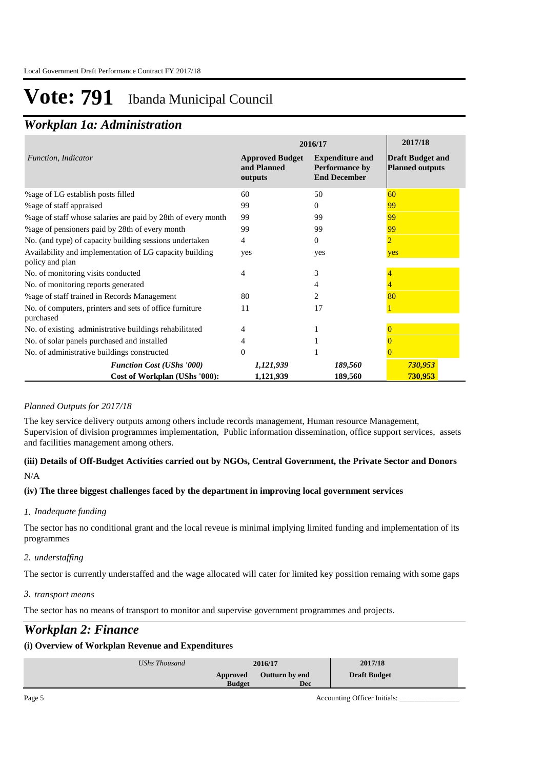### *Workplan 1a: Administration*

|                                                                            | 2016/17                                          | 2017/18                                                         |                                                   |
|----------------------------------------------------------------------------|--------------------------------------------------|-----------------------------------------------------------------|---------------------------------------------------|
| Function, Indicator                                                        | <b>Approved Budget</b><br>and Planned<br>outputs | <b>Expenditure and</b><br>Performance by<br><b>End December</b> | <b>Draft Budget and</b><br><b>Planned outputs</b> |
| %age of LG establish posts filled                                          | 60                                               | 50                                                              | 60                                                |
| % age of staff appraised                                                   | 99                                               | $\theta$                                                        | 99                                                |
| %age of staff whose salaries are paid by 28th of every month               | 99                                               | 99                                                              | 99                                                |
| %age of pensioners paid by 28th of every month                             | 99                                               | 99                                                              | 99                                                |
| No. (and type) of capacity building sessions undertaken                    | 4                                                | $\Omega$                                                        | 2                                                 |
| Availability and implementation of LG capacity building<br>policy and plan | yes                                              | yes                                                             | yes                                               |
| No. of monitoring visits conducted                                         | 4                                                | 3                                                               |                                                   |
| No. of monitoring reports generated                                        |                                                  |                                                                 |                                                   |
| % age of staff trained in Records Management                               | 80                                               | $\mathfrak{D}$                                                  | 80                                                |
| No. of computers, printers and sets of office furniture<br>purchased       | 11                                               | 17                                                              |                                                   |
| No. of existing administrative buildings rehabilitated                     |                                                  |                                                                 |                                                   |
| No. of solar panels purchased and installed                                | 4                                                |                                                                 |                                                   |
| No. of administrative buildings constructed                                | $\Omega$                                         |                                                                 |                                                   |
| <b>Function Cost (UShs '000)</b>                                           | 1,121,939                                        | 189,560                                                         | 730,953                                           |
| Cost of Workplan (UShs '000):                                              | 1,121,939                                        | 189,560                                                         | 730,953                                           |

### *Planned Outputs for 2017/18*

The key service delivery outputs among others include records management, Human resource Management, Supervision of division programmes implementation, Public information dissemination, office support services, assets and facilities management among others.

### **(iii) Details of Off-Budget Activities carried out by NGOs, Central Government, the Private Sector and Donors**  N/A

### **(iv) The three biggest challenges faced by the department in improving local government services**

### *Inadequate funding 1.*

The sector has no conditional grant and the local reveue is minimal implying limited funding and implementation of its programmes

### *understaffing 2.*

The sector is currently understaffed and the wage allocated will cater for limited key possition remaing with some gaps

### *transport means 3.*

The sector has no means of transport to monitor and supervise government programmes and projects.

### *Workplan 2: Finance*

### **(i) Overview of Workplan Revenue and Expenditures**

| UShs Thousand | 2017/18<br>2016/17                    |
|---------------|---------------------------------------|
| Approved      | <b>Draft Budget</b><br>Outturn by end |
| <b>Budget</b> | Dec                                   |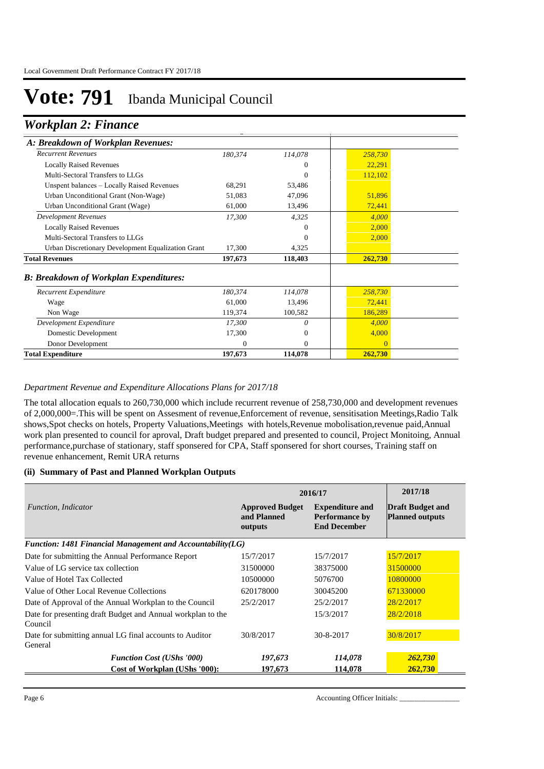### *Workplan 2: Finance*

| A: Breakdown of Workplan Revenues:                 |          |          |          |  |
|----------------------------------------------------|----------|----------|----------|--|
| <b>Recurrent Revenues</b>                          | 180,374  | 114,078  | 258,730  |  |
| <b>Locally Raised Revenues</b>                     |          | $\Omega$ | 22,291   |  |
| Multi-Sectoral Transfers to LLGs                   |          | $\theta$ | 112,102  |  |
| Unspent balances - Locally Raised Revenues         | 68,291   | 53,486   |          |  |
| Urban Unconditional Grant (Non-Wage)               | 51,083   | 47,096   | 51,896   |  |
| Urban Unconditional Grant (Wage)                   | 61,000   | 13,496   | 72,441   |  |
| <b>Development Revenues</b>                        | 17,300   | 4,325    | 4,000    |  |
| <b>Locally Raised Revenues</b>                     |          | $\Omega$ | 2,000    |  |
| Multi-Sectoral Transfers to LLGs                   |          | $\Omega$ | 2,000    |  |
| Urban Discretionary Development Equalization Grant | 17,300   | 4,325    |          |  |
| <b>Total Revenues</b>                              | 197,673  | 118,403  | 262,730  |  |
| <b>B: Breakdown of Workplan Expenditures:</b>      |          |          |          |  |
| Recurrent Expenditure                              | 180,374  | 114,078  | 258,730  |  |
| Wage                                               | 61,000   | 13,496   | 72,441   |  |
| Non Wage                                           | 119,374  | 100,582  | 186,289  |  |
| Development Expenditure                            | 17,300   | 0        | 4,000    |  |
| Domestic Development                               | 17,300   | 0        | 4,000    |  |
| Donor Development                                  | $\Omega$ | $\Omega$ | $\Omega$ |  |
| <b>Total Expenditure</b>                           | 197,673  | 114,078  | 262,730  |  |

### *Department Revenue and Expenditure Allocations Plans for 2017/18*

The total allocation equals to 260,730,000 which include recurrent revenue of 258,730,000 and development revenues of 2,000,000=.This will be spent on Assesment of revenue,Enforcement of revenue, sensitisation Meetings,Radio Talk shows,Spot checks on hotels, Property Valuations,Meetings with hotels,Revenue mobolisation,revenue paid,Annual work plan presented to council for aproval, Draft budget prepared and presented to council, Project Monitoing, Annual performance,purchase of stationary, staff sponsered for CPA, Staff sponsered for short courses, Training staff on revenue enhancement, Remit URA returns

#### **(ii) Summary of Past and Planned Workplan Outputs**

|                                                                        | 2016/17                                          | 2017/18                                                                |                                                   |
|------------------------------------------------------------------------|--------------------------------------------------|------------------------------------------------------------------------|---------------------------------------------------|
| Function, Indicator                                                    | <b>Approved Budget</b><br>and Planned<br>outputs | <b>Expenditure and</b><br><b>Performance by</b><br><b>End December</b> | <b>Draft Budget and</b><br><b>Planned outputs</b> |
| Function: 1481 Financial Management and Accountability $(LG)$          |                                                  |                                                                        |                                                   |
| Date for submitting the Annual Performance Report                      | 15/7/2017                                        | 15/7/2017                                                              | 15/7/2017                                         |
| Value of LG service tax collection                                     | 31500000                                         | 38375000                                                               | 31500000                                          |
| Value of Hotel Tax Collected                                           | 10500000                                         | 5076700                                                                | 10800000                                          |
| Value of Other Local Revenue Collections                               | 620178000                                        | 30045200                                                               | 671330000                                         |
| Date of Approval of the Annual Workplan to the Council                 | 25/2/2017                                        | 25/2/2017                                                              | 28/2/2017                                         |
| Date for presenting draft Budget and Annual workplan to the<br>Council |                                                  | 15/3/2017                                                              | 28/2/2018                                         |
| Date for submitting annual LG final accounts to Auditor<br>General     | 30/8/2017                                        | 30-8-2017                                                              | 30/8/2017                                         |
| <b>Function Cost (UShs '000)</b>                                       | 197,673                                          | 114,078                                                                | 262,730                                           |
| Cost of Workplan (UShs '000):                                          | 197,673                                          | 114,078                                                                | 262,730                                           |

Page 6 Accounting Officer Initials: \_\_\_\_\_\_\_\_\_\_\_\_\_\_\_\_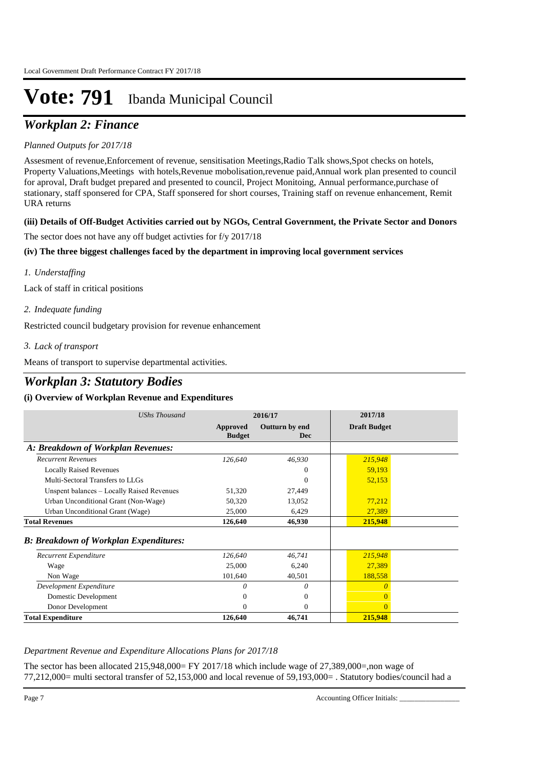## *Workplan 2: Finance*

### *Planned Outputs for 2017/18*

Assesment of revenue,Enforcement of revenue, sensitisation Meetings,Radio Talk shows,Spot checks on hotels, Property Valuations,Meetings with hotels,Revenue mobolisation,revenue paid,Annual work plan presented to council for aproval, Draft budget prepared and presented to council, Project Monitoing, Annual performance,purchase of stationary, staff sponsered for CPA, Staff sponsered for short courses, Training staff on revenue enhancement, Remit URA returns

### **(iii) Details of Off-Budget Activities carried out by NGOs, Central Government, the Private Sector and Donors**

The sector does not have any off budget activties for f/y 2017/18

### **(iv) The three biggest challenges faced by the department in improving local government services**

*Understaffing 1.*

Lack of staff in critical positions

*Indequate funding 2.*

Restricted council budgetary provision for revenue enhancement

*Lack of transport 3.*

Means of transport to supervise departmental activities.

### *Workplan 3: Statutory Bodies*

### **(i) Overview of Workplan Revenue and Expenditures**

| <b>UShs Thousand</b>                          |                           | 2016/17                      | 2017/18             |  |
|-----------------------------------------------|---------------------------|------------------------------|---------------------|--|
|                                               | Approved<br><b>Budget</b> | Outturn by end<br><b>Dec</b> | <b>Draft Budget</b> |  |
| A: Breakdown of Workplan Revenues:            |                           |                              |                     |  |
| <b>Recurrent Revenues</b>                     | 126,640                   | 46,930                       | 215,948             |  |
| <b>Locally Raised Revenues</b>                |                           | $\theta$                     | 59,193              |  |
| Multi-Sectoral Transfers to LLGs              |                           | $\theta$                     | 52,153              |  |
| Unspent balances - Locally Raised Revenues    | 51,320                    | 27,449                       |                     |  |
| Urban Unconditional Grant (Non-Wage)          | 50,320                    | 13,052                       | 77,212              |  |
| Urban Unconditional Grant (Wage)              | 25,000                    | 6,429                        | 27,389              |  |
| <b>Total Revenues</b>                         | 126,640                   | 46,930                       | 215,948             |  |
| <b>B: Breakdown of Workplan Expenditures:</b> |                           |                              |                     |  |
| Recurrent Expenditure                         | 126,640                   | 46,741                       | 215,948             |  |
| Wage                                          | 25,000                    | 6,240                        | 27,389              |  |
| Non Wage                                      | 101,640                   | 40,501                       | 188,558             |  |
| Development Expenditure                       | 0                         | 0                            |                     |  |
| Domestic Development                          | $\Omega$                  | $\theta$                     |                     |  |
| Donor Development                             | 0                         | $\Omega$                     | 0                   |  |
| <b>Total Expenditure</b>                      | 126,640                   | 46,741                       | 215,948             |  |

### *Department Revenue and Expenditure Allocations Plans for 2017/18*

The sector has been allocated 215,948,000= FY 2017/18 which include wage of 27,389,000=,non wage of 77,212,000= multi sectoral transfer of 52,153,000 and local revenue of 59,193,000= . Statutory bodies/council had a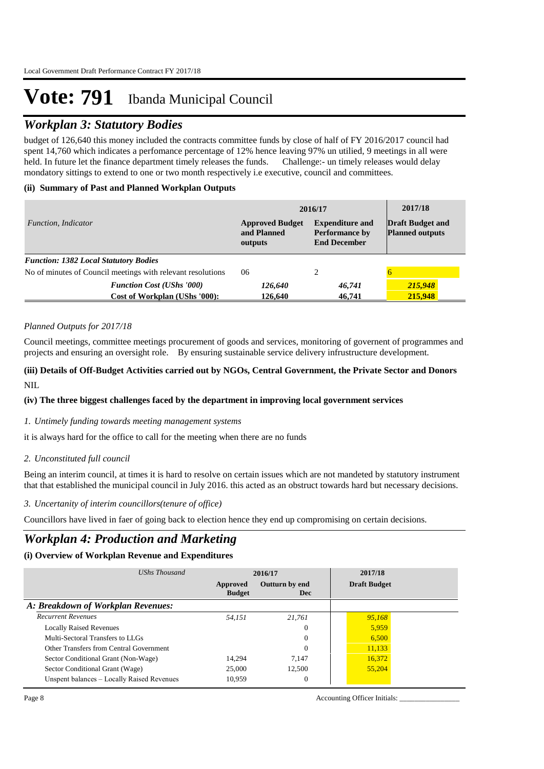### *Workplan 3: Statutory Bodies*

budget of 126,640 this money included the contracts committee funds by close of half of FY 2016/2017 council had spent 14,760 which indicates a perfomance percentage of 12% hence leaving 97% un utilied, 9 meetings in all were held. In future let the finance department timely releases the funds. Challenge:- un timely releases would delay mondatory sittings to extend to one or two month respectively i.e executive, council and committees.

### **(ii) Summary of Past and Planned Workplan Outputs**

|                                                             | 2016/17                                          | 2017/18                                                                |                                                   |
|-------------------------------------------------------------|--------------------------------------------------|------------------------------------------------------------------------|---------------------------------------------------|
| Function, Indicator                                         | <b>Approved Budget</b><br>and Planned<br>outputs | <b>Expenditure and</b><br><b>Performance by</b><br><b>End December</b> | <b>Draft Budget and</b><br><b>Planned outputs</b> |
| <b>Function: 1382 Local Statutory Bodies</b>                |                                                  |                                                                        |                                                   |
| No of minutes of Council meetings with relevant resolutions | 06                                               | 2                                                                      |                                                   |
| <b>Function Cost (UShs '000)</b>                            | 126,640                                          | 46,741                                                                 | 215,948                                           |
| Cost of Workplan (UShs '000):                               | 126.640                                          | 46,741                                                                 | 215,948                                           |

### *Planned Outputs for 2017/18*

Council meetings, committee meetings procurement of goods and services, monitoring of governent of programmes and projects and ensuring an oversight role. By ensuring sustainable service delivery infrustructure development.

### **(iii) Details of Off-Budget Activities carried out by NGOs, Central Government, the Private Sector and Donors**  NIL.

### **(iv) The three biggest challenges faced by the department in improving local government services**

### *Untimely funding towards meeting management systems 1.*

it is always hard for the office to call for the meeting when there are no funds

### *Unconstituted full council 2.*

Being an interim council, at times it is hard to resolve on certain issues which are not mandeted by statutory instrument that that established the municipal council in July 2016. this acted as an obstruct towards hard but necessary decisions.

#### *Uncertanity of interim councillors(tenure of office) 3.*

Councillors have lived in faer of going back to election hence they end up compromising on certain decisions.

### *Workplan 4: Production and Marketing*

### **(i) Overview of Workplan Revenue and Expenditures**

| UShs Thousand                              | 2016/17                   |                              | 2017/18             |
|--------------------------------------------|---------------------------|------------------------------|---------------------|
|                                            | Approved<br><b>Budget</b> | Outturn by end<br><b>Dec</b> | <b>Draft Budget</b> |
| A: Breakdown of Workplan Revenues:         |                           |                              |                     |
| <b>Recurrent Revenues</b>                  | 54.151                    | 21.761                       | 95.168              |
| <b>Locally Raised Revenues</b>             |                           | $\theta$                     | 5,959               |
| Multi-Sectoral Transfers to LLGs           |                           | $\theta$                     | 6,500               |
| Other Transfers from Central Government    |                           | $\theta$                     | 11,133              |
| Sector Conditional Grant (Non-Wage)        | 14.294                    | 7.147                        | 16.372              |
| Sector Conditional Grant (Wage)            | 25,000                    | 12.500                       | 55,204              |
| Unspent balances - Locally Raised Revenues | 10.959                    | $\theta$                     |                     |

Page 8 Accounting Officer Initials: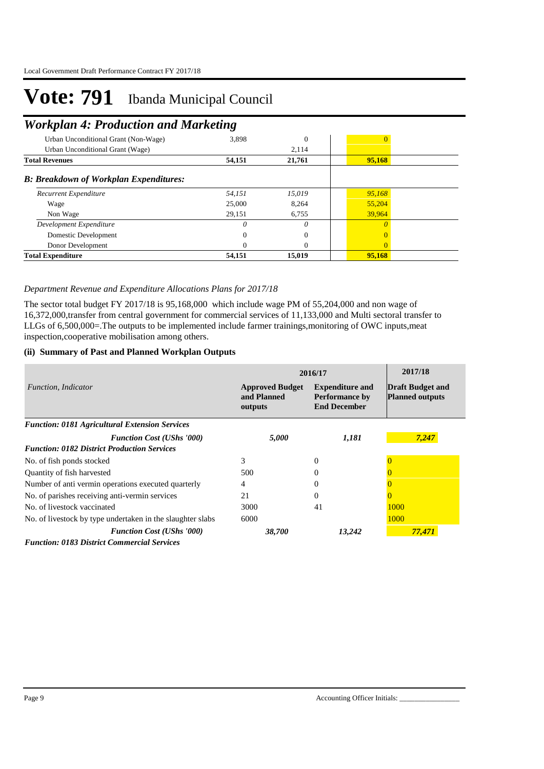## *Workplan 4: Production and Marketing*

| Urban Unconditional Grant (Non-Wage)          | 3,898  | $\overline{0}$ |        |
|-----------------------------------------------|--------|----------------|--------|
| Urban Unconditional Grant (Wage)              |        | 2,114          |        |
| <b>Total Revenues</b>                         | 54,151 | 21,761         | 95,168 |
| <b>B: Breakdown of Workplan Expenditures:</b> |        |                |        |
| Recurrent Expenditure                         | 54,151 | 15,019         | 95,168 |
| Wage                                          | 25,000 | 8,264          | 55,204 |
| Non Wage                                      | 29,151 | 6,755          | 39,964 |
| Development Expenditure                       |        | 0              |        |
| Domestic Development                          |        | $\Omega$       | 0      |
| Donor Development                             |        | $\theta$       | 0      |
| <b>Total Expenditure</b>                      | 54,151 | 15,019         | 95,168 |

#### *Department Revenue and Expenditure Allocations Plans for 2017/18*

The sector total budget FY 2017/18 is 95,168,000 which include wage PM of 55,204,000 and non wage of 16,372,000,transfer from central government for commercial services of 11,133,000 and Multi sectoral transfer to LLGs of 6,500,000=. The outputs to be implemented include farmer trainings, monitoring of OWC inputs, meat inspection,cooperative mobilisation among others.

#### **(ii) Summary of Past and Planned Workplan Outputs**

|                                                            | 2016/17                                          | 2017/18                                                                |                                                   |
|------------------------------------------------------------|--------------------------------------------------|------------------------------------------------------------------------|---------------------------------------------------|
| <i>Function, Indicator</i>                                 | <b>Approved Budget</b><br>and Planned<br>outputs | <b>Expenditure and</b><br><b>Performance by</b><br><b>End December</b> | <b>Draft Budget and</b><br><b>Planned outputs</b> |
| <b>Function: 0181 Agricultural Extension Services</b>      |                                                  |                                                                        |                                                   |
| <b>Function Cost (UShs '000)</b>                           | 5,000                                            | 1,181                                                                  | 7,247                                             |
| <b>Function: 0182 District Production Services</b>         |                                                  |                                                                        |                                                   |
| No. of fish ponds stocked                                  | 3                                                | $\Omega$                                                               |                                                   |
| Quantity of fish harvested                                 | 500                                              | 0                                                                      |                                                   |
| Number of anti-vermin operations executed quarterly        | 4                                                | 0                                                                      |                                                   |
| No. of parishes receiving anti-vermin services             | 21                                               | $\Omega$                                                               |                                                   |
| No. of livestock vaccinated                                | 3000                                             | 41                                                                     | 1000                                              |
| No. of livestock by type undertaken in the slaughter slabs | 6000                                             |                                                                        | 1000                                              |
| <b>Function Cost (UShs '000)</b>                           | 38,700                                           | 13,242                                                                 | 77,471                                            |
| <b>Function: 0183 District Commercial Services</b>         |                                                  |                                                                        |                                                   |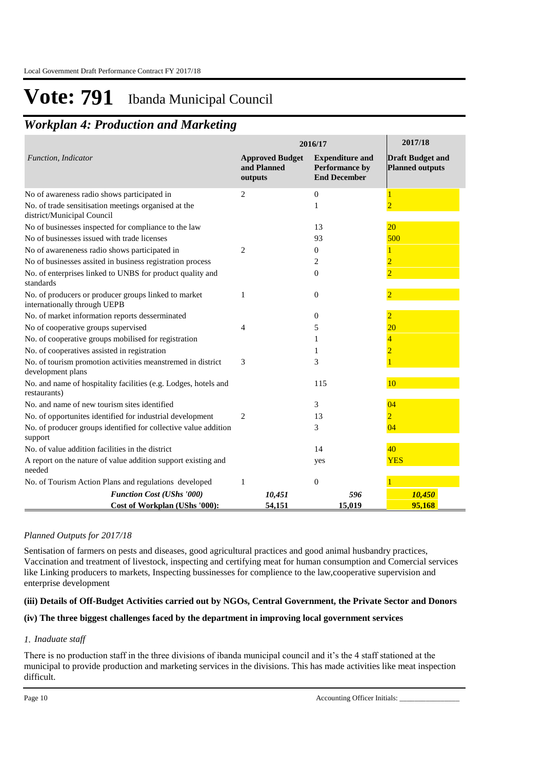## *Workplan 4: Production and Marketing*

|                                                                                      | 2016/17                                          | 2017/18                                                         |                                                   |
|--------------------------------------------------------------------------------------|--------------------------------------------------|-----------------------------------------------------------------|---------------------------------------------------|
| Function, Indicator                                                                  | <b>Approved Budget</b><br>and Planned<br>outputs | <b>Expenditure and</b><br>Performance by<br><b>End December</b> | <b>Draft Budget and</b><br><b>Planned outputs</b> |
| No of awareness radio shows participated in                                          | 2                                                | $\mathbf{0}$                                                    |                                                   |
| No. of trade sensitisation meetings organised at the<br>district/Municipal Council   |                                                  | 1                                                               |                                                   |
| No of businesses inspected for compliance to the law                                 |                                                  | 13                                                              | 20                                                |
| No of businesses issued with trade licenses                                          |                                                  | 93                                                              | 500                                               |
| No of awareneness radio shows participated in                                        | 2                                                | $\boldsymbol{0}$                                                |                                                   |
| No of businesses assited in business registration process                            |                                                  | 2                                                               | $\overline{2}$                                    |
| No. of enterprises linked to UNBS for product quality and<br>standards               |                                                  | $\theta$                                                        | $\overline{2}$                                    |
| No. of producers or producer groups linked to market<br>internationally through UEPB | 1                                                | $\theta$                                                        |                                                   |
| No. of market information reports desserminated                                      |                                                  | $\mathbf{0}$                                                    |                                                   |
| No of cooperative groups supervised                                                  | 4                                                | 5                                                               | 20                                                |
| No. of cooperative groups mobilised for registration                                 |                                                  | 1                                                               | 4                                                 |
| No. of cooperatives assisted in registration                                         |                                                  | 1                                                               | $\overline{2}$                                    |
| No. of tourism promotion activities meanstremed in district<br>development plans     | 3                                                | 3                                                               |                                                   |
| No. and name of hospitality facilities (e.g. Lodges, hotels and<br>restaurants)      |                                                  | 115                                                             | 10                                                |
| No. and name of new tourism sites identified                                         |                                                  | 3                                                               | 04                                                |
| No. of opportunites identified for industrial development                            | 2                                                | 13                                                              | $\overline{2}$                                    |
| No. of producer groups identified for collective value addition<br>support           |                                                  | 3                                                               | 04                                                |
| No. of value addition facilities in the district                                     |                                                  | 14                                                              | 40                                                |
| A report on the nature of value addition support existing and<br>needed              |                                                  | yes                                                             | <b>YES</b>                                        |
| No. of Tourism Action Plans and regulations developed                                | 1                                                | $\theta$                                                        |                                                   |
| <b>Function Cost (UShs '000)</b>                                                     | 10,451                                           | 596                                                             | 10,450                                            |
| Cost of Workplan (UShs '000):                                                        | 54,151                                           | 15,019                                                          | 95.168                                            |

### *Planned Outputs for 2017/18*

Sentisation of farmers on pests and diseases, good agricultural practices and good animal husbandry practices, Vaccination and treatment of livestock, inspecting and certifying meat for human consumption and Comercial services like Linking producers to markets, Inspecting bussinesses for complience to the law,cooperative supervision and enterprise development

### **(iii) Details of Off-Budget Activities carried out by NGOs, Central Government, the Private Sector and Donors**

### **(iv) The three biggest challenges faced by the department in improving local government services**

### *Inaduate staff 1.*

There is no production staff in the three divisions of ibanda municipal council and it's the 4 staff stationed at the municipal to provide production and marketing services in the divisions. This has made activities like meat inspection difficult.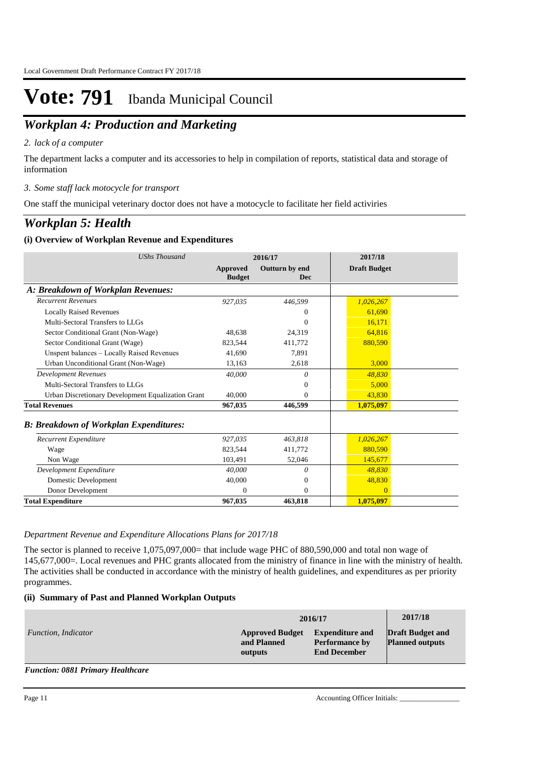## *Workplan 4: Production and Marketing*

### *lack of a computer 2.*

The department lacks a computer and its accessories to help in compilation of reports, statistical data and storage of information

### *Some staff lack motocycle for transport 3.*

One staff the municipal veterinary doctor does not have a motocycle to facilitate her field activiries

### *Workplan 5: Health*

### **(i) Overview of Workplan Revenue and Expenditures**

| <b>UShs Thousand</b>                               | 2016/17                   |                       | 2017/18             |
|----------------------------------------------------|---------------------------|-----------------------|---------------------|
|                                                    | Approved<br><b>Budget</b> | Outturn by end<br>Dec | <b>Draft Budget</b> |
| A: Breakdown of Workplan Revenues:                 |                           |                       |                     |
| <b>Recurrent Revenues</b>                          | 927,035                   | 446,599               | 1,026,267           |
| <b>Locally Raised Revenues</b>                     |                           | 0                     | 61.690              |
| Multi-Sectoral Transfers to LLGs                   |                           | $\Omega$              | 16,171              |
| Sector Conditional Grant (Non-Wage)                | 48,638                    | 24,319                | 64,816              |
| Sector Conditional Grant (Wage)                    | 823,544                   | 411,772               | 880,590             |
| Unspent balances - Locally Raised Revenues         | 41.690                    | 7,891                 |                     |
| Urban Unconditional Grant (Non-Wage)               | 13,163                    | 2,618                 | 3,000               |
| <b>Development Revenues</b>                        | 40,000                    | 0                     | 48,830              |
| Multi-Sectoral Transfers to LLGs                   |                           | $\Omega$              | 5,000               |
| Urban Discretionary Development Equalization Grant | 40,000                    | $\Omega$              | 43,830              |
| <b>Total Revenues</b>                              | 967,035                   | 446,599               | 1,075,097           |
| <b>B: Breakdown of Workplan Expenditures:</b>      |                           |                       |                     |
| Recurrent Expenditure                              | 927,035                   | 463,818               | 1,026,267           |
| Wage                                               | 823.544                   | 411.772               | 880.590             |
| Non Wage                                           | 103,491                   | 52,046                | 145,677             |
| Development Expenditure                            | 40,000                    | 0                     | 48,830              |
| Domestic Development                               | 40,000                    | $\mathbf{0}$          | 48,830              |
| Donor Development                                  | 0                         | $\mathbf{0}$          | $\overline{0}$      |
| <b>Total Expenditure</b>                           | 967,035                   | 463,818               | 1,075,097           |

#### *Department Revenue and Expenditure Allocations Plans for 2017/18*

The sector is planned to receive 1,075,097,000= that include wage PHC of 880,590,000 and total non wage of 145,677,000=. Local revenues and PHC grants allocated from the ministry of finance in line with the ministry of health. The activities shall be conducted in accordance with the ministry of health guidelines, and expenditures as per priority programmes.

### **(ii) Summary of Past and Planned Workplan Outputs**

|                     | 2016/17                                          | 2017/18                                                                |                                                   |
|---------------------|--------------------------------------------------|------------------------------------------------------------------------|---------------------------------------------------|
| Function, Indicator | <b>Approved Budget</b><br>and Planned<br>outputs | <b>Expenditure and</b><br><b>Performance by</b><br><b>End December</b> | <b>Draft Budget and</b><br><b>Planned outputs</b> |

*Function: 0881 Primary Healthcare*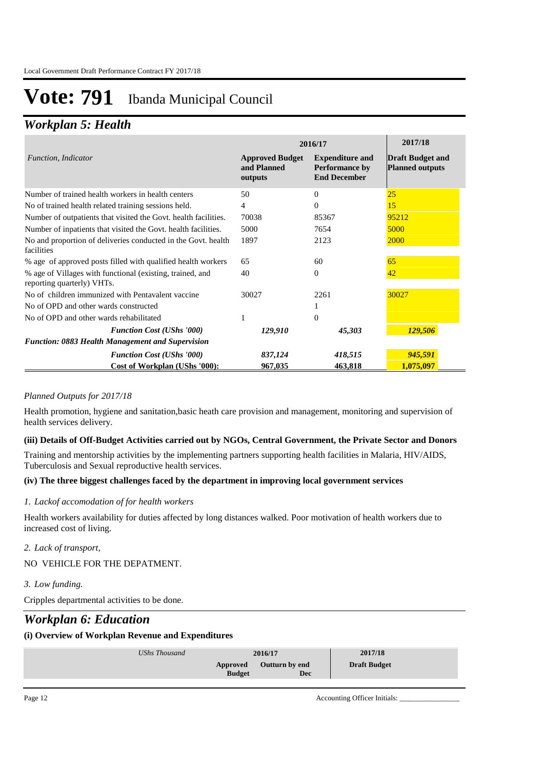### *Workplan 5: Health*

|                                                                                         | 2016/17                                          | 2017/18                                                                |                                                   |
|-----------------------------------------------------------------------------------------|--------------------------------------------------|------------------------------------------------------------------------|---------------------------------------------------|
| Function, Indicator                                                                     | <b>Approved Budget</b><br>and Planned<br>outputs | <b>Expenditure and</b><br><b>Performance by</b><br><b>End December</b> | <b>Draft Budget and</b><br><b>Planned outputs</b> |
| Number of trained health workers in health centers                                      | 50                                               | $\Omega$                                                               | 25                                                |
| No of trained health related training sessions held.                                    | 4                                                | $\Omega$                                                               | 15                                                |
| Number of outpatients that visited the Govt. health facilities.                         | 70038                                            | 85367                                                                  | 95212                                             |
| Number of inpatients that visited the Govt. health facilities.                          | 5000                                             | 7654                                                                   | 5000                                              |
| No and proportion of deliveries conducted in the Govt. health<br>facilities             | 1897                                             | 2123                                                                   | 2000                                              |
| % age of approved posts filled with qualified health workers                            | 65                                               | 60                                                                     | 65                                                |
| % age of Villages with functional (existing, trained, and<br>reporting quarterly) VHTs. | 40                                               | $\Omega$                                                               | 42                                                |
| No of children immunized with Pentavalent vaccine                                       | 30027                                            | 2261                                                                   | 30027                                             |
| No of OPD and other wards constructed                                                   |                                                  | 1                                                                      |                                                   |
| No of OPD and other wards rehabilitated                                                 |                                                  | $\Omega$                                                               |                                                   |
| <b>Function Cost (UShs '000)</b>                                                        | 129,910                                          | 45,303                                                                 | 129,506                                           |
| <b>Function: 0883 Health Management and Supervision</b>                                 |                                                  |                                                                        |                                                   |
| <b>Function Cost (UShs '000)</b>                                                        | 837,124                                          | 418,515                                                                | 945,591                                           |
| Cost of Workplan (UShs '000):                                                           | 967,035                                          | 463,818                                                                | 1,075,097                                         |

### *Planned Outputs for 2017/18*

Health promotion, hygiene and sanitation,basic heath care provision and management, monitoring and supervision of health services delivery.

### **(iii) Details of Off-Budget Activities carried out by NGOs, Central Government, the Private Sector and Donors**

Training and mentorship activities by the implementing partners supporting health facilities in Malaria, HIV/AIDS, Tuberculosis and Sexual reproductive health services.

### **(iv) The three biggest challenges faced by the department in improving local government services**

### *Lackof accomodation of for health workers 1.*

Health workers availability for duties affected by long distances walked. Poor motivation of health workers due to increased cost of living.

#### *Lack of transport, 2.*

NO VEHICLE FOR THE DEPATMENT.

### *Low funding. 3.*

Cripples departmental activities to be done.

### *Workplan 6: Education*

### **(i) Overview of Workplan Revenue and Expenditures**

| UShs Thousand |                           | 2016/17               | 2017/18             |
|---------------|---------------------------|-----------------------|---------------------|
|               | Approved<br><b>Budget</b> | Outturn by end<br>Dec | <b>Draft Budget</b> |
|               |                           |                       |                     |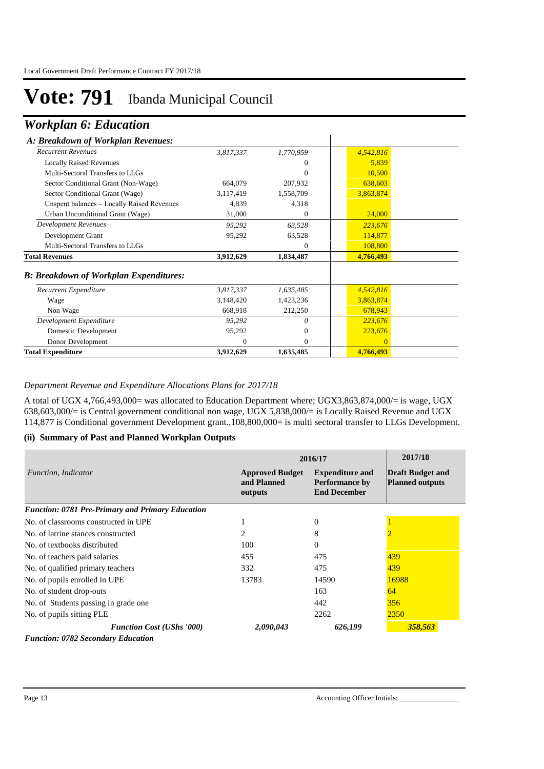### *Workplan 6: Education*

### *A: Breakdown of Workplan Revenues:*

| A: Breakdown of Workplan Revenues:            |           |              |           |
|-----------------------------------------------|-----------|--------------|-----------|
| <b>Recurrent Revenues</b>                     | 3,817,337 | 1,770,959    | 4,542,816 |
| <b>Locally Raised Revenues</b>                |           | 0            | 5,839     |
| Multi-Sectoral Transfers to LLGs              |           | 0            | 10,500    |
| Sector Conditional Grant (Non-Wage)           | 664,079   | 207,932      | 638,603   |
| Sector Conditional Grant (Wage)               | 3,117,419 | 1,558,709    | 3,863,874 |
| Unspent balances - Locally Raised Revenues    | 4,839     | 4,318        |           |
| Urban Unconditional Grant (Wage)              | 31,000    | $\Omega$     | 24,000    |
| <b>Development Revenues</b>                   | 95,292    | 63,528       | 223,676   |
| Development Grant                             | 95,292    | 63,528       | 114,877   |
| Multi-Sectoral Transfers to LLGs              |           | $\Omega$     | 108,800   |
| <b>Total Revenues</b>                         | 3,912,629 | 1,834,487    | 4,766,493 |
| <b>B: Breakdown of Workplan Expenditures:</b> |           |              |           |
| Recurrent Expenditure                         | 3,817,337 | 1,635,485    | 4,542,816 |
| Wage                                          | 3,148,420 | 1,423,236    | 3,863,874 |
| Non Wage                                      | 668,918   | 212,250      | 678,943   |
| Development Expenditure                       | 95,292    | $\theta$     | 223,676   |
| Domestic Development                          | 95,292    | $\mathbf{0}$ | 223,676   |
| Donor Development                             | 0         | $\Omega$     | $\Omega$  |
| <b>Total Expenditure</b>                      | 3,912,629 | 1,635,485    | 4,766,493 |

*Department Revenue and Expenditure Allocations Plans for 2017/18*

A total of UGX 4,766,493,000= was allocated to Education Department where; UGX3,863,874,000/= is wage, UGX 638,603,000/= is Central government conditional non wage, UGX 5,838,000/= is Locally Raised Revenue and UGX 114,877 is Conditional government Development grant.,108,800,000= is multi sectoral transfer to LLGs Development.

#### **(ii) Summary of Past and Planned Workplan Outputs**

|                                                  | 2016/17                                          |                                                                        |                                                   |
|--------------------------------------------------|--------------------------------------------------|------------------------------------------------------------------------|---------------------------------------------------|
| <i>Function, Indicator</i>                       | <b>Approved Budget</b><br>and Planned<br>outputs | <b>Expenditure and</b><br><b>Performance by</b><br><b>End December</b> | <b>Draft Budget and</b><br><b>Planned outputs</b> |
| Function: 0781 Pre-Primary and Primary Education |                                                  |                                                                        |                                                   |
| No. of classrooms constructed in UPE             |                                                  | $\Omega$                                                               |                                                   |
| No. of latrine stances constructed               | 2                                                | 8                                                                      |                                                   |
| No. of textbooks distributed                     | 100                                              | $\Omega$                                                               |                                                   |
| No. of teachers paid salaries                    | 455                                              | 475                                                                    | 439                                               |
| No. of qualified primary teachers                | 332                                              | 475                                                                    | 439                                               |
| No. of pupils enrolled in UPE                    | 13783                                            | 14590                                                                  | 16988                                             |
| No. of student drop-outs                         |                                                  | 163                                                                    | 64                                                |
| No. of Students passing in grade one             |                                                  | 442                                                                    | 356                                               |
| No. of pupils sitting PLE                        |                                                  | 2262                                                                   | 2350                                              |
| <b>Function Cost (UShs '000)</b>                 | 2,090,043                                        | 626,199                                                                | 358,563                                           |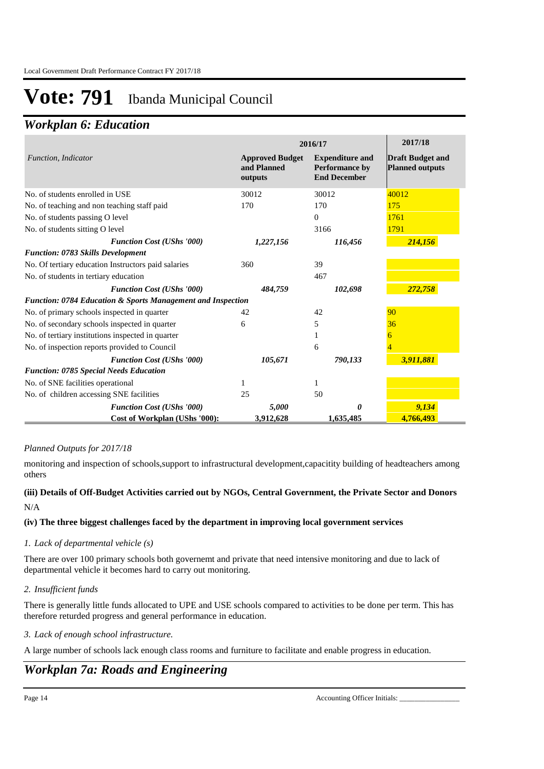## *Workplan 6: Education*

|                                                             | 2016/17                                          | 2017/18                                                                |                                                   |
|-------------------------------------------------------------|--------------------------------------------------|------------------------------------------------------------------------|---------------------------------------------------|
| Function, Indicator                                         | <b>Approved Budget</b><br>and Planned<br>outputs | <b>Expenditure and</b><br><b>Performance by</b><br><b>End December</b> | <b>Draft Budget and</b><br><b>Planned outputs</b> |
| No. of students enrolled in USE                             | 30012                                            | 30012                                                                  | 40012                                             |
| No. of teaching and non teaching staff paid                 | 170                                              | 170                                                                    | 175                                               |
| No. of students passing O level                             |                                                  | $\Omega$                                                               | 1761                                              |
| No. of students sitting O level                             |                                                  | 3166                                                                   | 1791                                              |
| <b>Function Cost (UShs '000)</b>                            | 1,227,156                                        | 116,456                                                                | 214,156                                           |
| <b>Function: 0783 Skills Development</b>                    |                                                  |                                                                        |                                                   |
| No. Of tertiary education Instructors paid salaries         | 360                                              | 39                                                                     |                                                   |
| No. of students in tertiary education                       |                                                  | 467                                                                    |                                                   |
| <b>Function Cost (UShs '000)</b>                            | 484,759                                          | 102,698                                                                | 272,758                                           |
| Function: 0784 Education & Sports Management and Inspection |                                                  |                                                                        |                                                   |
| No. of primary schools inspected in quarter                 | 42                                               | 42                                                                     | 90                                                |
| No. of secondary schools inspected in quarter               | 6                                                | 5                                                                      | 36                                                |
| No. of tertiary institutions inspected in quarter           |                                                  |                                                                        |                                                   |
| No. of inspection reports provided to Council               |                                                  | 6                                                                      |                                                   |
| <b>Function Cost (UShs '000)</b>                            | 105,671                                          | 790,133                                                                | 3,911,881                                         |
| <b>Function: 0785 Special Needs Education</b>               |                                                  |                                                                        |                                                   |
| No. of SNE facilities operational                           | 1                                                | 1                                                                      |                                                   |
| No. of children accessing SNE facilities                    | 25                                               | 50                                                                     |                                                   |
| <b>Function Cost (UShs '000)</b>                            | 5,000                                            | 0                                                                      | 9,134                                             |
| <b>Cost of Workplan (UShs '000):</b>                        | 3,912,628                                        | 1,635,485                                                              | 4,766,493                                         |

### *Planned Outputs for 2017/18*

monitoring and inspection of schools,support to infrastructural development,capacitity building of headteachers among others

### **(iii) Details of Off-Budget Activities carried out by NGOs, Central Government, the Private Sector and Donors**  N/A

### **(iv) The three biggest challenges faced by the department in improving local government services**

### *Lack of departmental vehicle (s) 1.*

There are over 100 primary schools both governemt and private that need intensive monitoring and due to lack of departmental vehicle it becomes hard to carry out monitoring.

### *Insufficient funds 2.*

There is generally little funds allocated to UPE and USE schools compared to activities to be done per term. This has therefore returded progress and general performance in education.

### *Lack of enough school infrastructure. 3.*

A large number of schools lack enough class rooms and furniture to facilitate and enable progress in education.

## *Workplan 7a: Roads and Engineering*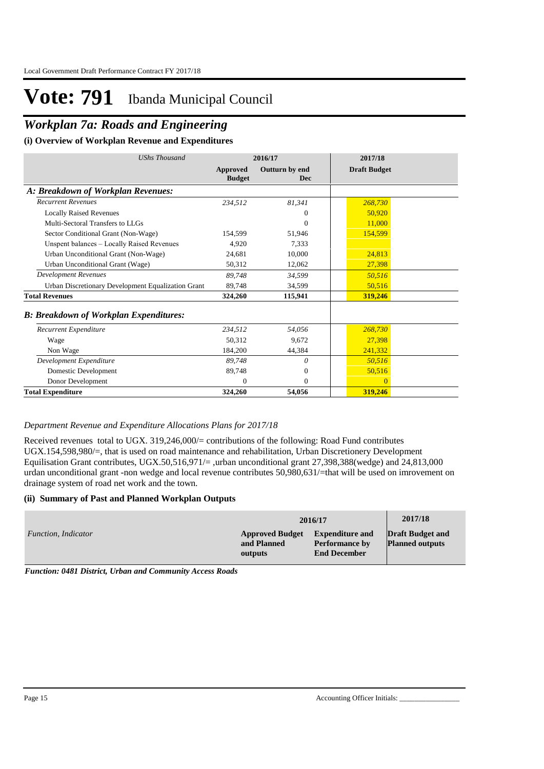## *Workplan 7a: Roads and Engineering*

### **(i) Overview of Workplan Revenue and Expenditures**

| <b>UShs Thousand</b>                               | 2016/17                          |                       | 2017/18             |
|----------------------------------------------------|----------------------------------|-----------------------|---------------------|
|                                                    | <b>Approved</b><br><b>Budget</b> | Outturn by end<br>Dec | <b>Draft Budget</b> |
| A: Breakdown of Workplan Revenues:                 |                                  |                       |                     |
| <b>Recurrent Revenues</b>                          | 234,512                          | 81,341                | 268,730             |
| <b>Locally Raised Revenues</b>                     |                                  | $\overline{0}$        | 50,920              |
| Multi-Sectoral Transfers to LLGs                   |                                  | $\Omega$              | 11,000              |
| Sector Conditional Grant (Non-Wage)                | 154.599                          | 51,946                | 154,599             |
| Unspent balances - Locally Raised Revenues         | 4,920                            | 7,333                 |                     |
| Urban Unconditional Grant (Non-Wage)               | 24,681                           | 10,000                | 24,813              |
| Urban Unconditional Grant (Wage)                   | 50,312                           | 12,062                | 27,398              |
| <b>Development Revenues</b>                        | 89,748                           | 34,599                | 50,516              |
| Urban Discretionary Development Equalization Grant | 89,748                           | 34,599                | 50,516              |
| <b>Total Revenues</b>                              | 324,260                          | 115,941               | 319,246             |
| <b>B: Breakdown of Workplan Expenditures:</b>      |                                  |                       |                     |
| Recurrent Expenditure                              | 234,512                          | 54,056                | 268,730             |
| Wage                                               | 50.312                           | 9.672                 | 27,398              |
| Non Wage                                           | 184,200                          | 44,384                | 241,332             |
| Development Expenditure                            | 89,748                           | 0                     | 50,516              |
| Domestic Development                               | 89,748                           | $\mathbf{0}$          | 50,516              |
| Donor Development                                  | $\Omega$                         | $\Omega$              | $\Omega$            |
| <b>Total Expenditure</b>                           | 324,260                          | 54,056                | 319,246             |

#### *Department Revenue and Expenditure Allocations Plans for 2017/18*

Received revenues total to UGX. 319,246,000/= contributions of the following: Road Fund contributes UGX.154,598,980/=, that is used on road maintenance and rehabilitation, Urban Discretionery Development Equilisation Grant contributes, UGX.50,516,971/= ,urban unconditional grant 27,398,388(wedge) and 24,813,000 urdan unconditional grant -non wedge and local revenue contributes 50,980,631/=that will be used on imrovement on drainage system of road net work and the town.

#### **(ii) Summary of Past and Planned Workplan Outputs**

|                     | 2016/17                                          | 2017/18                                                                |                                                   |
|---------------------|--------------------------------------------------|------------------------------------------------------------------------|---------------------------------------------------|
| Function, Indicator | <b>Approved Budget</b><br>and Planned<br>outputs | <b>Expenditure and</b><br><b>Performance by</b><br><b>End December</b> | <b>Draft Budget and</b><br><b>Planned outputs</b> |

*Function: 0481 District, Urban and Community Access Roads*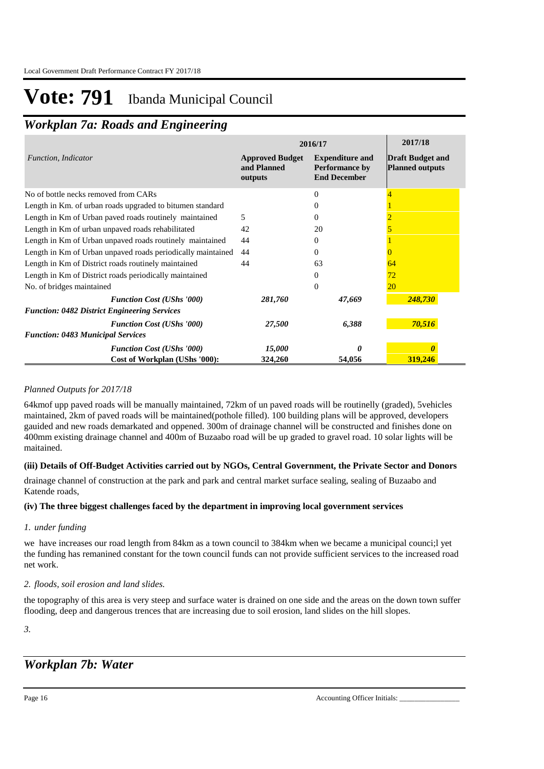## *Workplan 7a: Roads and Engineering*

|                                                             | 2016/17                                          | 2017/18                                                                |                                                   |
|-------------------------------------------------------------|--------------------------------------------------|------------------------------------------------------------------------|---------------------------------------------------|
| Function, Indicator                                         | <b>Approved Budget</b><br>and Planned<br>outputs | <b>Expenditure and</b><br><b>Performance by</b><br><b>End December</b> | <b>Draft Budget and</b><br><b>Planned outputs</b> |
| No of bottle necks removed from CARs                        |                                                  | 0                                                                      |                                                   |
| Length in Km. of urban roads upgraded to bitumen standard   |                                                  |                                                                        |                                                   |
| Length in Km of Urban paved roads routinely maintained      | 5                                                | 0                                                                      |                                                   |
| Length in Km of urban unpaved roads rehabilitated           | 42                                               | 20                                                                     |                                                   |
| Length in Km of Urban unpaved roads routinely maintained    | 44                                               | 0                                                                      |                                                   |
| Length in Km of Urban unpaved roads periodically maintained | 44                                               | 0                                                                      |                                                   |
| Length in Km of District roads routinely maintained         | 44                                               | 63                                                                     | 64                                                |
| Length in Km of District roads periodically maintained      |                                                  | 0                                                                      | 72                                                |
| No. of bridges maintained                                   |                                                  | $\Omega$                                                               | <b>20</b>                                         |
| <b>Function Cost (UShs '000)</b>                            | 281,760                                          | 47,669                                                                 | 248,730                                           |
| <b>Function: 0482 District Engineering Services</b>         |                                                  |                                                                        |                                                   |
| <b>Function Cost (UShs '000)</b>                            | 27,500                                           | 6,388                                                                  | 70,516                                            |
| <b>Function: 0483 Municipal Services</b>                    |                                                  |                                                                        |                                                   |
| <b>Function Cost (UShs '000)</b>                            | 15,000                                           |                                                                        |                                                   |
| Cost of Workplan (UShs '000):                               | 324,260                                          | 54,056                                                                 | 319,246                                           |

### *Planned Outputs for 2017/18*

64kmof upp paved roads will be manually maintained, 72km of un paved roads will be routinelly (graded), 5vehicles maintained, 2km of paved roads will be maintained(pothole filled). 100 building plans will be approved, developers gauided and new roads demarkated and oppened. 300m of drainage channel will be constructed and finishes done on 400mm existing drainage channel and 400m of Buzaabo road will be up graded to gravel road. 10 solar lights will be maitained.

### **(iii) Details of Off-Budget Activities carried out by NGOs, Central Government, the Private Sector and Donors**

drainage channel of construction at the park and park and central market surface sealing, sealing of Buzaabo and Katende roads,

### **(iv) The three biggest challenges faced by the department in improving local government services**

### *under funding 1.*

we have increases our road length from 84km as a town council to 384km when we became a municipal counci;l yet the funding has remanined constant for the town council funds can not provide sufficient services to the increased road net work.

### *floods, soil erosion and land slides. 2.*

the topography of this area is very steep and surface water is drained on one side and the areas on the down town suffer flooding, deep and dangerous trences that are increasing due to soil erosion, land slides on the hill slopes.

*3.*

## *Workplan 7b: Water*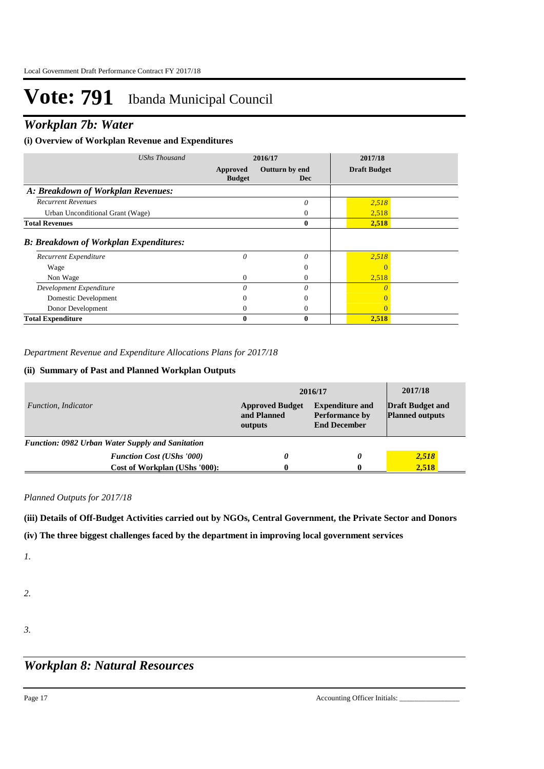### *Workplan 7b: Water*

### **(i) Overview of Workplan Revenue and Expenditures**

| <b>UShs Thousand</b>                          |                           | 2016/17               | 2017/18             |  |
|-----------------------------------------------|---------------------------|-----------------------|---------------------|--|
|                                               | Approved<br><b>Budget</b> | Outturn by end<br>Dec | <b>Draft Budget</b> |  |
| A: Breakdown of Workplan Revenues:            |                           |                       |                     |  |
| <b>Recurrent Revenues</b>                     |                           | 0                     | 2,518               |  |
| Urban Unconditional Grant (Wage)              |                           | $\theta$              | 2,518               |  |
| <b>Total Revenues</b>                         |                           | $\mathbf{0}$          | 2,518               |  |
| <b>B: Breakdown of Workplan Expenditures:</b> |                           |                       |                     |  |
| Recurrent Expenditure                         | 0                         | $\theta$              | 2,518               |  |
| Wage                                          |                           | $\left($              | $\left($            |  |
| Non Wage                                      | $\mathbf{0}$              | 0                     | 2,518               |  |
| Development Expenditure                       | $\Omega$                  | $\theta$              |                     |  |
| Domestic Development                          |                           | 0                     |                     |  |
| Donor Development                             | $_{0}$                    | $\theta$              | $\theta$            |  |
| <b>Total Expenditure</b>                      | 0                         | $\mathbf{0}$          | 2,518               |  |

*Department Revenue and Expenditure Allocations Plans for 2017/18*

### **(ii) Summary of Past and Planned Workplan Outputs**

|                                                         | 2016/17                                          | 2017/18                                                                |                                                   |
|---------------------------------------------------------|--------------------------------------------------|------------------------------------------------------------------------|---------------------------------------------------|
| Function, Indicator                                     | <b>Approved Budget</b><br>and Planned<br>outputs | <b>Expenditure and</b><br><b>Performance by</b><br><b>End December</b> | <b>Draft Budget and</b><br><b>Planned outputs</b> |
| <b>Function: 0982 Urban Water Supply and Sanitation</b> |                                                  |                                                                        |                                                   |
| <b>Function Cost (UShs '000)</b>                        | $\theta$                                         | 0                                                                      | 2,518                                             |
| Cost of Workplan (UShs '000):                           | 0                                                |                                                                        | 2.518                                             |

*Planned Outputs for 2017/18* 

**(iii) Details of Off-Budget Activities carried out by NGOs, Central Government, the Private Sector and Donors** 

**(iv) The three biggest challenges faced by the department in improving local government services**

*1.*

- *2.*
- *3.*

### *Workplan 8: Natural Resources*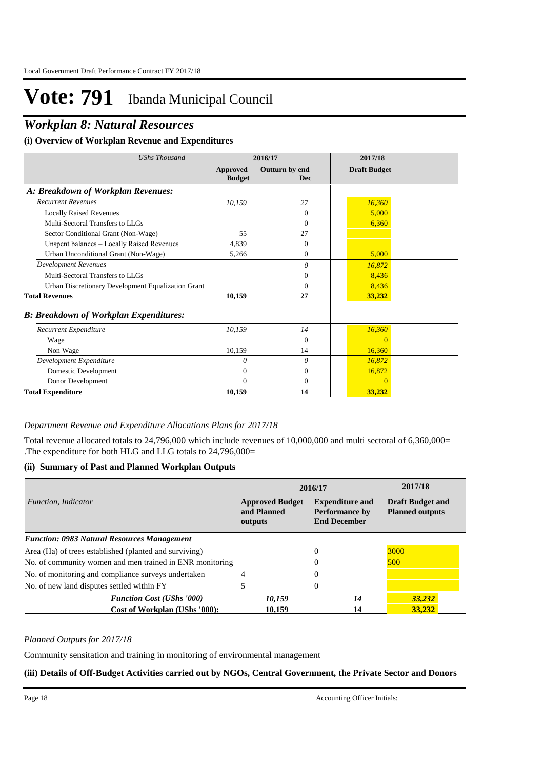### *Workplan 8: Natural Resources*

### **(i) Overview of Workplan Revenue and Expenditures**

| <b>UShs Thousand</b>                               |                           | 2016/17                      | 2017/18             |  |
|----------------------------------------------------|---------------------------|------------------------------|---------------------|--|
|                                                    | Approved<br><b>Budget</b> | Outturn by end<br><b>Dec</b> | <b>Draft Budget</b> |  |
| A: Breakdown of Workplan Revenues:                 |                           |                              |                     |  |
| <b>Recurrent Revenues</b>                          | 10,159                    | 27                           | 16,360              |  |
| <b>Locally Raised Revenues</b>                     |                           | $\Omega$                     | 5,000               |  |
| Multi-Sectoral Transfers to LLGs                   |                           | $\Omega$                     | 6,360               |  |
| Sector Conditional Grant (Non-Wage)                | 55                        | 27                           |                     |  |
| Unspent balances - Locally Raised Revenues         | 4,839                     | $\Omega$                     |                     |  |
| Urban Unconditional Grant (Non-Wage)               | 5,266                     | $\mathbf{0}$                 | 5,000               |  |
| <b>Development Revenues</b>                        |                           | $\theta$                     | 16,872              |  |
| Multi-Sectoral Transfers to LLGs                   |                           | $\Omega$                     | 8,436               |  |
| Urban Discretionary Development Equalization Grant |                           | $\Omega$                     | 8,436               |  |
| <b>Total Revenues</b>                              | 10,159                    | 27                           | 33,232              |  |
| <b>B: Breakdown of Workplan Expenditures:</b>      |                           |                              |                     |  |
| Recurrent Expenditure                              | 10,159                    | 14                           | 16,360              |  |
| Wage                                               |                           | $\theta$                     | 0                   |  |
| Non Wage                                           | 10,159                    | 14                           | 16,360              |  |
| Development Expenditure                            | 0                         | 0                            | 16,872              |  |
| Domestic Development                               | 0                         | $\Omega$                     | 16,872              |  |
| Donor Development                                  | $\Omega$                  | $\theta$                     | $\Omega$            |  |
| <b>Total Expenditure</b>                           | 10,159                    | 14                           | 33,232              |  |

### *Department Revenue and Expenditure Allocations Plans for 2017/18*

Total revenue allocated totals to 24,796,000 which include revenues of 10,000,000 and multi sectoral of 6,360,000= .The expenditure for both HLG and LLG totals to 24,796,000=

#### **(ii) Summary of Past and Planned Workplan Outputs**

|                                                          | 2016/17                                                                                                                    | 2017/18        |                                                   |
|----------------------------------------------------------|----------------------------------------------------------------------------------------------------------------------------|----------------|---------------------------------------------------|
| Function, Indicator                                      | <b>Expenditure and</b><br><b>Approved Budget</b><br>and Planned<br><b>Performance by</b><br><b>End December</b><br>outputs |                | <b>Draft Budget and</b><br><b>Planned outputs</b> |
| <b>Function: 0983 Natural Resources Management</b>       |                                                                                                                            |                |                                                   |
| Area (Ha) of trees established (planted and surviving)   |                                                                                                                            | $\Omega$       | 3000                                              |
| No. of community women and men trained in ENR monitoring |                                                                                                                            | 0              | 500                                               |
| No. of monitoring and compliance surveys undertaken      |                                                                                                                            | 0              |                                                   |
| No. of new land disputes settled within FY               |                                                                                                                            | $\overline{0}$ |                                                   |
| <b>Function Cost (UShs '000)</b>                         | 10,159                                                                                                                     | 14             | 33,232                                            |
| Cost of Workplan (UShs '000):                            | 10.159                                                                                                                     | 14             | 33.232                                            |

### *Planned Outputs for 2017/18*

Community sensitation and training in monitoring of environmental management

#### **(iii) Details of Off-Budget Activities carried out by NGOs, Central Government, the Private Sector and Donors**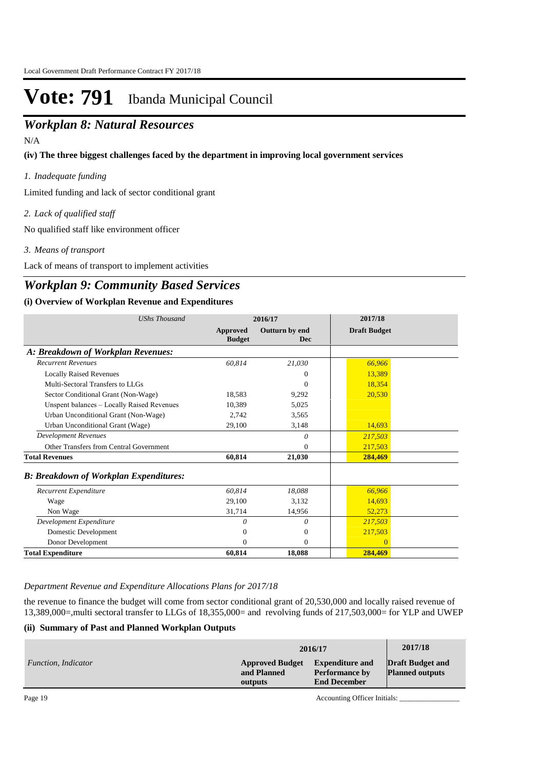### **(iii) Details of Off-Budget Activities carried out by NGCOS Sector Activities Sector Activities Sector Activities Sector Activities Sector Activities Sector Activities Sector Activities Sector Activities Sector Activities**

N/A

**(iv) The three biggest challenges faced by the department in improving local government services**

*Inadequate funding 1.*

Limited funding and lack of sector conditional grant

*Lack of qualified staff 2.*

No qualified staff like environment officer

*Means of transport 3.*

Lack of means of transport to implement activities

### *Workplan 9: Community Based Services*

### **(i) Overview of Workplan Revenue and Expenditures**

| <b>UShs Thousand</b>                          | 2016/17                          |                              | 2017/18             |  |
|-----------------------------------------------|----------------------------------|------------------------------|---------------------|--|
|                                               | <b>Approved</b><br><b>Budget</b> | Outturn by end<br><b>Dec</b> | <b>Draft Budget</b> |  |
| A: Breakdown of Workplan Revenues:            |                                  |                              |                     |  |
| <b>Recurrent Revenues</b>                     | 60,814                           | 21,030                       | 66,966              |  |
| <b>Locally Raised Revenues</b>                |                                  | 0                            | 13,389              |  |
| Multi-Sectoral Transfers to LLGs              |                                  | $\mathbf{0}$                 | 18,354              |  |
| Sector Conditional Grant (Non-Wage)           | 18,583                           | 9,292                        | 20,530              |  |
| Unspent balances - Locally Raised Revenues    | 10,389                           | 5,025                        |                     |  |
| Urban Unconditional Grant (Non-Wage)          | 2,742                            | 3,565                        |                     |  |
| Urban Unconditional Grant (Wage)              | 29,100                           | 3,148                        | 14,693              |  |
| <b>Development Revenues</b>                   |                                  | 0                            | 217,503             |  |
| Other Transfers from Central Government       |                                  | $\Omega$                     | 217,503             |  |
| <b>Total Revenues</b>                         | 60.814                           | 21,030                       | 284,469             |  |
| <b>B: Breakdown of Workplan Expenditures:</b> |                                  |                              |                     |  |
| Recurrent Expenditure                         | 60,814                           | 18,088                       | 66,966              |  |
| Wage                                          | 29,100                           | 3,132                        | 14,693              |  |
| Non Wage                                      | 31,714                           | 14,956                       | 52,273              |  |
| Development Expenditure                       | 0                                | 0                            | 217,503             |  |
| Domestic Development                          | 0                                | $\mathbf{0}$                 | 217,503             |  |
| Donor Development                             | 0                                | $\mathbf{0}$                 | $\Omega$            |  |
| <b>Total Expenditure</b>                      | 60,814                           | 18,088                       | 284,469             |  |

*Department Revenue and Expenditure Allocations Plans for 2017/18*

the revenue to finance the budget will come from sector conditional grant of 20,530,000 and locally raised revenue of 13,389,000=,multi sectoral transfer to LLGs of 18,355,000= and revolving funds of 217,503,000= for YLP and UWEP

### **(ii) Summary of Past and Planned Workplan Outputs**

|                     | 2016/17                                          | 2017/18                                                                |                                                   |
|---------------------|--------------------------------------------------|------------------------------------------------------------------------|---------------------------------------------------|
| Function, Indicator | <b>Approved Budget</b><br>and Planned<br>outputs | <b>Expenditure and</b><br><b>Performance by</b><br><b>End December</b> | <b>Draft Budget and</b><br><b>Planned outputs</b> |

Page 19 Accounting Officer Initials: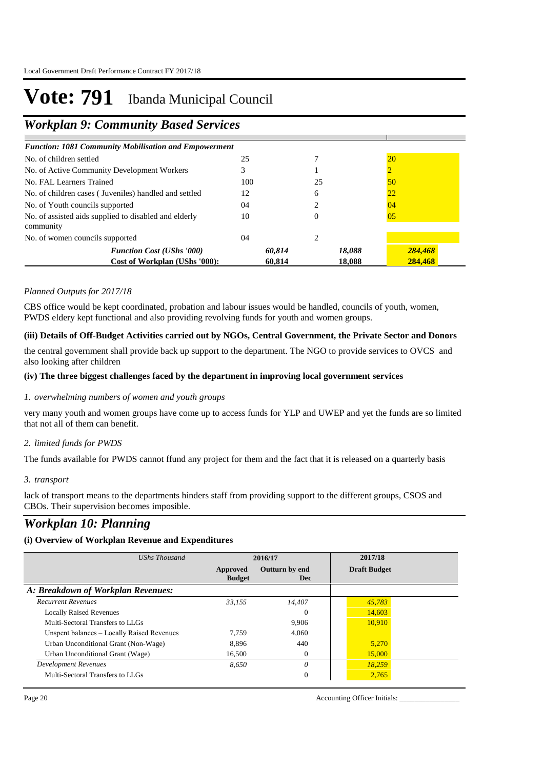## *Workplan 9: Community Based Services*

| <b>Function: 1081 Community Mobilisation and Empowerment</b>       |        |        |         |
|--------------------------------------------------------------------|--------|--------|---------|
| No. of children settled                                            | 25     |        | 20      |
| No. of Active Community Development Workers                        |        |        |         |
| No. FAL Learners Trained                                           | 100    | 25     | 50      |
| No. of children cases (Juveniles) handled and settled              | 12     | 6      | 22      |
| No. of Youth councils supported                                    | 04     |        | 04      |
| No. of assisted aids supplied to disabled and elderly<br>community | 10     | 0      | 05      |
| No. of women councils supported                                    | 04     | 2      |         |
| <b>Function Cost (UShs '000)</b>                                   | 60,814 | 18,088 | 284,468 |
| Cost of Workplan (UShs '000):                                      | 60.814 | 18.088 | 284,468 |

**and Planned** 

**Performance by** 

**Planned outputs**

#### *Planned Outputs for 2017/18*

CBS office would be kept coordinated, probation and labour issues would be handled, councils of youth, women, PWDS eldery kept functional and also providing revolving funds for youth and women groups.

### **(iii) Details of Off-Budget Activities carried out by NGOs, Central Government, the Private Sector and Donors**

the central government shall provide back up support to the department. The NGO to provide services to OVCS and also looking after children

#### **(iv) The three biggest challenges faced by the department in improving local government services**

#### *overwhelming numbers of women and youth groups 1.*

very many youth and women groups have come up to access funds for YLP and UWEP and yet the funds are so limited that not all of them can benefit.

### *limited funds for PWDS 2.*

The funds available for PWDS cannot ffund any project for them and the fact that it is released on a quarterly basis

#### *transport 3.*

lack of transport means to the departments hinders staff from providing support to the different groups, CSOS and CBOs. Their supervision becomes imposible.

### *Workplan 10: Planning*

### **(i) Overview of Workplan Revenue and Expenditures**

| <b>UShs Thousand</b>                       | 2016/17                   |                              | 2017/18             |
|--------------------------------------------|---------------------------|------------------------------|---------------------|
|                                            | Approved<br><b>Budget</b> | Outturn by end<br><b>Dec</b> | <b>Draft Budget</b> |
| A: Breakdown of Workplan Revenues:         |                           |                              |                     |
| <b>Recurrent Revenues</b>                  | 33,155                    | 14,407                       | 45,783              |
| <b>Locally Raised Revenues</b>             |                           | 0                            | 14,603              |
| Multi-Sectoral Transfers to LLGs           |                           | 9.906                        | 10.910              |
| Unspent balances – Locally Raised Revenues | 7.759                     | 4.060                        |                     |
| Urban Unconditional Grant (Non-Wage)       | 8.896                     | 440                          | 5.270               |
| Urban Unconditional Grant (Wage)           | 16.500                    | 0                            | 15,000              |
| Development Revenues                       | 8.650                     | 0                            | 18.259              |
| Multi-Sectoral Transfers to LLGs           |                           | 0                            | 2,765               |

Page 20 Accounting Officer Initials: \_\_\_\_\_\_\_\_\_\_\_\_\_\_\_\_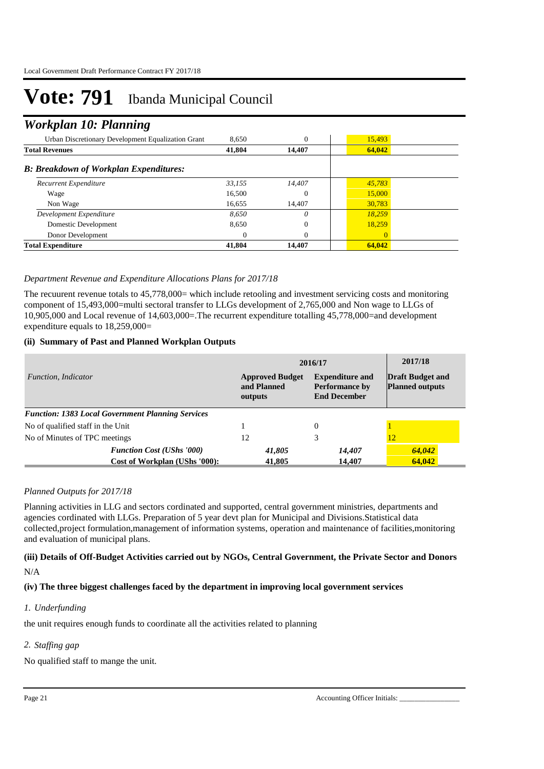### *Workplan 10: Planning*

| Urban Discretionary Development Equalization Grant | 8.650    | $\theta$ | 15,493   |  |
|----------------------------------------------------|----------|----------|----------|--|
| <b>Total Revenues</b>                              | 41,804   | 14.407   | 64,042   |  |
| <b>B: Breakdown of Workplan Expenditures:</b>      |          |          |          |  |
| Recurrent Expenditure                              | 33,155   | 14,407   | 45,783   |  |
| Wage                                               | 16,500   | $\left($ | 15,000   |  |
| Non Wage                                           | 16,655   | 14.407   | 30,783   |  |
| Development Expenditure                            | 8.650    | 0        | 18.259   |  |
| Domestic Development                               | 8,650    | 0        | 18,259   |  |
| Donor Development                                  | $\Omega$ | $\Omega$ | $\Omega$ |  |
| <b>Total Expenditure</b>                           | 41,804   | 14,407   | 64,042   |  |

### *Department Revenue and Expenditure Allocations Plans for 2017/18*

The recuurent revenue totals to 45,778,000= which include retooling and investment servicing costs and monitoring component of 15,493,000=multi sectoral transfer to LLGs development of 2,765,000 and Non wage to LLGs of 10,905,000 and Local revenue of 14,603,000=.The recurrent expenditure totalling 45,778,000=and development expenditure equals to 18,259,000=

#### **(ii) Summary of Past and Planned Workplan Outputs**

|                                                          | 2016/17                                          | 2017/18                                                                |                                                   |
|----------------------------------------------------------|--------------------------------------------------|------------------------------------------------------------------------|---------------------------------------------------|
| Function, Indicator                                      | <b>Approved Budget</b><br>and Planned<br>outputs | <b>Expenditure and</b><br><b>Performance by</b><br><b>End December</b> | <b>Draft Budget and</b><br><b>Planned outputs</b> |
| <b>Function: 1383 Local Government Planning Services</b> |                                                  |                                                                        |                                                   |
| No of qualified staff in the Unit                        |                                                  | $\Omega$                                                               |                                                   |
| No of Minutes of TPC meetings                            | 12                                               | 3                                                                      | 12                                                |
| <b>Function Cost (UShs '000)</b>                         | 41,805                                           | 14,407                                                                 | 64,042                                            |
| Cost of Workplan (UShs '000):                            | 41,805                                           | 14,407                                                                 | 64.042                                            |

### *Planned Outputs for 2017/18*

Planning activities in LLG and sectors cordinated and supported, central government ministries, departments and agencies cordinated with LLGs. Preparation of 5 year devt plan for Municipal and Divisions.Statistical data collected,project formulation,management of information systems, operation and maintenance of facilities,monitoring and evaluation of municipal plans.

### **(iii) Details of Off-Budget Activities carried out by NGOs, Central Government, the Private Sector and Donors**  N/A

### **(iv) The three biggest challenges faced by the department in improving local government services**

#### *Underfunding 1.*

the unit requires enough funds to coordinate all the activities related to planning

### *Staffing gap 2.*

No qualified staff to mange the unit.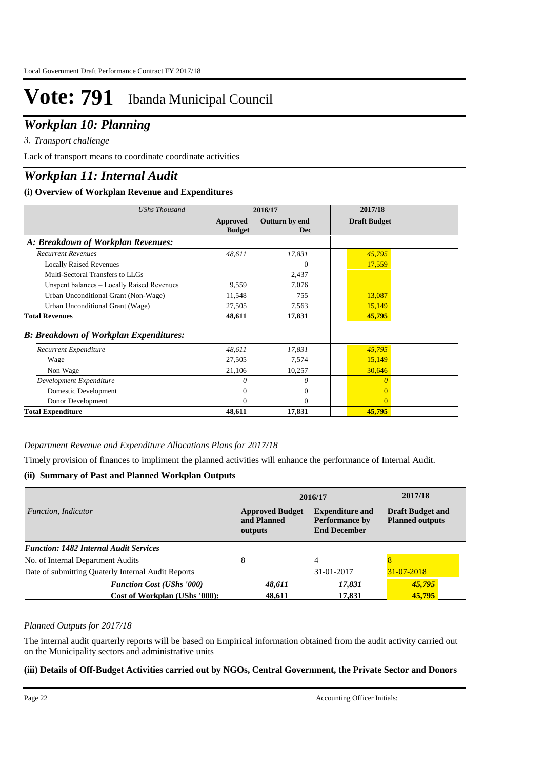### *Workplan 10: Planning*

*Transport challenge 3.*

Lack of transport means to coordinate coordinate activities

## *Workplan 11: Internal Audit*

### **(i) Overview of Workplan Revenue and Expenditures**

| <b>UShs Thousand</b>                          | 2016/17                   |                              | 2017/18             |
|-----------------------------------------------|---------------------------|------------------------------|---------------------|
|                                               | Approved<br><b>Budget</b> | Outturn by end<br><b>Dec</b> | <b>Draft Budget</b> |
| A: Breakdown of Workplan Revenues:            |                           |                              |                     |
| <b>Recurrent Revenues</b>                     | 48,611                    | 17,831                       | 45,795              |
| <b>Locally Raised Revenues</b>                |                           | $\theta$                     | 17,559              |
| Multi-Sectoral Transfers to LLGs              |                           | 2,437                        |                     |
| Unspent balances - Locally Raised Revenues    | 9,559                     | 7,076                        |                     |
| Urban Unconditional Grant (Non-Wage)          | 11,548                    | 755                          | 13,087              |
| Urban Unconditional Grant (Wage)              | 27,505                    | 7,563                        | 15,149              |
| <b>Total Revenues</b>                         | 48,611                    | 17,831                       | 45,795              |
| <b>B: Breakdown of Workplan Expenditures:</b> |                           |                              |                     |
| Recurrent Expenditure                         | 48,611                    | 17,831                       | 45,795              |
| Wage                                          | 27,505                    | 7,574                        | 15,149              |
| Non Wage                                      | 21,106                    | 10,257                       | 30,646              |
| Development Expenditure                       | 0                         | 0                            | 0                   |
| Domestic Development                          | 0                         | 0                            |                     |
| Donor Development                             | 0                         | $\Omega$                     | $\Omega$            |
| <b>Total Expenditure</b>                      | 48,611                    | 17,831                       | 45,795              |

### *Department Revenue and Expenditure Allocations Plans for 2017/18*

Timely provision of finances to impliment the planned activities will enhance the performance of Internal Audit.

### **(ii) Summary of Past and Planned Workplan Outputs**

|                                                                   | 2016/17                                          |                                                                        | 2017/18                                           |
|-------------------------------------------------------------------|--------------------------------------------------|------------------------------------------------------------------------|---------------------------------------------------|
| <i>Function, Indicator</i>                                        | <b>Approved Budget</b><br>and Planned<br>outputs | <b>Expenditure and</b><br><b>Performance by</b><br><b>End December</b> | <b>Draft Budget and</b><br><b>Planned outputs</b> |
| <b>Function: 1482 Internal Audit Services</b>                     |                                                  |                                                                        |                                                   |
| No. of Internal Department Audits                                 | 8                                                | 4                                                                      |                                                   |
| Date of submitting Quaterly Internal Audit Reports                |                                                  | 31-01-2017                                                             | $31 - 07 - 2018$                                  |
| <b>Function Cost (UShs '000)</b><br>Cost of Workplan (UShs '000): | 48,611<br>48,611                                 | 17,831<br>17.831                                                       | 45,795<br>45,795                                  |

### *Planned Outputs for 2017/18*

The internal audit quarterly reports will be based on Empirical information obtained from the audit activity carried out on the Municipality sectors and administrative units

### **(iii) Details of Off-Budget Activities carried out by NGOs, Central Government, the Private Sector and Donors**